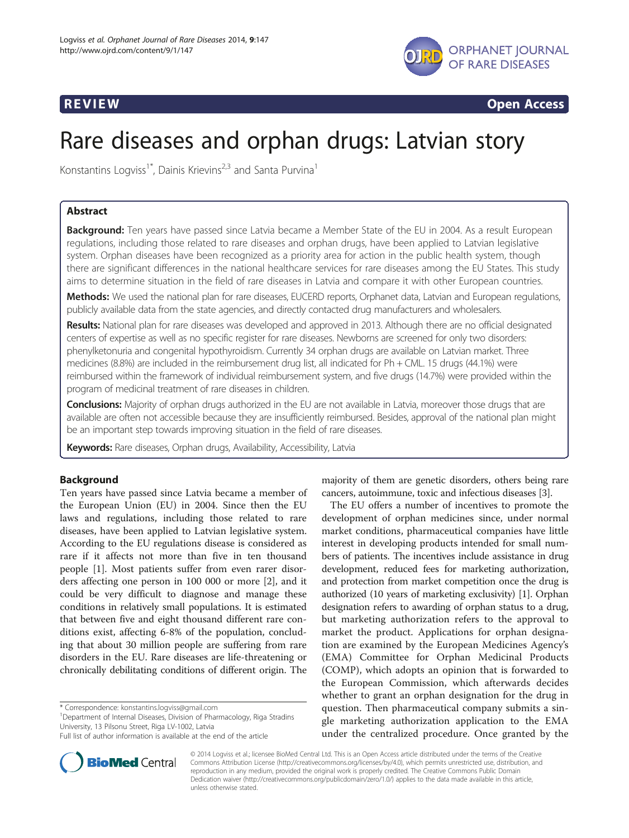

**REVIEW CONSTRUCTION CONSTRUCTION CONSTRUCTS** 

# Rare diseases and orphan drugs: Latvian story

Konstantins Logviss<sup>1\*</sup>, Dainis Krievins<sup>2,3</sup> and Santa Purvina<sup>1</sup>

# Abstract

Background: Ten years have passed since Latvia became a Member State of the EU in 2004. As a result European regulations, including those related to rare diseases and orphan drugs, have been applied to Latvian legislative system. Orphan diseases have been recognized as a priority area for action in the public health system, though there are significant differences in the national healthcare services for rare diseases among the EU States. This study aims to determine situation in the field of rare diseases in Latvia and compare it with other European countries.

Methods: We used the national plan for rare diseases, EUCERD reports, Orphanet data, Latvian and European regulations, publicly available data from the state agencies, and directly contacted drug manufacturers and wholesalers.

Results: National plan for rare diseases was developed and approved in 2013. Although there are no official designated centers of expertise as well as no specific register for rare diseases. Newborns are screened for only two disorders: phenylketonuria and congenital hypothyroidism. Currently 34 orphan drugs are available on Latvian market. Three medicines (8.8%) are included in the reimbursement drug list, all indicated for Ph + CML. 15 drugs (44.1%) were reimbursed within the framework of individual reimbursement system, and five drugs (14.7%) were provided within the program of medicinal treatment of rare diseases in children.

Conclusions: Majority of orphan drugs authorized in the EU are not available in Latvia, moreover those drugs that are available are often not accessible because they are insufficiently reimbursed. Besides, approval of the national plan might be an important step towards improving situation in the field of rare diseases.

Keywords: Rare diseases, Orphan drugs, Availability, Accessibility, Latvia

# Background

Ten years have passed since Latvia became a member of the European Union (EU) in 2004. Since then the EU laws and regulations, including those related to rare diseases, have been applied to Latvian legislative system. According to the EU regulations disease is considered as rare if it affects not more than five in ten thousand people [\[1](#page-11-0)]. Most patients suffer from even rarer disorders affecting one person in 100 000 or more [[2\]](#page-11-0), and it could be very difficult to diagnose and manage these conditions in relatively small populations. It is estimated that between five and eight thousand different rare conditions exist, affecting 6-8% of the population, concluding that about 30 million people are suffering from rare disorders in the EU. Rare diseases are life-threatening or chronically debilitating conditions of different origin. The

\* Correspondence: [konstantins.logviss@gmail.com](mailto:konstantins.logviss@gmail.com) <sup>1</sup>

<sup>1</sup>Department of Internal Diseases, Division of Pharmacology, Riga Stradins University, 13 Pilsonu Street, Riga LV-1002, Latvia



The EU offers a number of incentives to promote the development of orphan medicines since, under normal market conditions, pharmaceutical companies have little interest in developing products intended for small numbers of patients. The incentives include assistance in drug development, reduced fees for marketing authorization, and protection from market competition once the drug is authorized (10 years of marketing exclusivity) [\[1](#page-11-0)]. Orphan designation refers to awarding of orphan status to a drug, but marketing authorization refers to the approval to market the product. Applications for orphan designation are examined by the European Medicines Agency's (EMA) Committee for Orphan Medicinal Products (COMP), which adopts an opinion that is forwarded to the European Commission, which afterwards decides whether to grant an orphan designation for the drug in question. Then pharmaceutical company submits a single marketing authorization application to the EMA under the centralized procedure. Once granted by the



© 2014 Logviss et al.; licensee BioMed Central Ltd. This is an Open Access article distributed under the terms of the Creative Commons Attribution License [\(http://creativecommons.org/licenses/by/4.0\)](http://creativecommons.org/licenses/by/4.0), which permits unrestricted use, distribution, and reproduction in any medium, provided the original work is properly credited. The Creative Commons Public Domain Dedication waiver [\(http://creativecommons.org/publicdomain/zero/1.0/](http://creativecommons.org/publicdomain/zero/1.0/)) applies to the data made available in this article, unless otherwise stated.

Full list of author information is available at the end of the article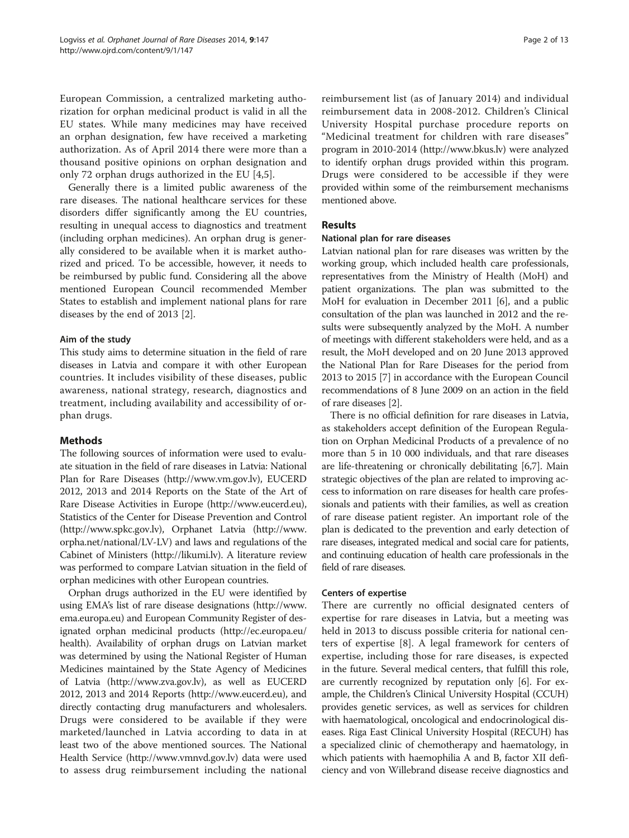European Commission, a centralized marketing authorization for orphan medicinal product is valid in all the EU states. While many medicines may have received an orphan designation, few have received a marketing authorization. As of April 2014 there were more than a thousand positive opinions on orphan designation and only 72 orphan drugs authorized in the EU [[4,5\]](#page-12-0).

Generally there is a limited public awareness of the rare diseases. The national healthcare services for these disorders differ significantly among the EU countries, resulting in unequal access to diagnostics and treatment (including orphan medicines). An orphan drug is generally considered to be available when it is market authorized and priced. To be accessible, however, it needs to be reimbursed by public fund. Considering all the above mentioned European Council recommended Member States to establish and implement national plans for rare diseases by the end of 2013 [[2\]](#page-11-0).

# Aim of the study

This study aims to determine situation in the field of rare diseases in Latvia and compare it with other European countries. It includes visibility of these diseases, public awareness, national strategy, research, diagnostics and treatment, including availability and accessibility of orphan drugs.

# Methods

The following sources of information were used to evaluate situation in the field of rare diseases in Latvia: National Plan for Rare Diseases [\(http://www.vm.gov.lv](http://www.vm.gov.lv)), EUCERD 2012, 2013 and 2014 Reports on the State of the Art of Rare Disease Activities in Europe [\(http://www.eucerd.eu](http://www.eucerd.eu)), Statistics of the Center for Disease Prevention and Control (<http://www.spkc.gov.lv>), Orphanet Latvia ([http://www.](http://www.orpha.net/national/LV-LV) [orpha.net/national/LV-LV](http://www.orpha.net/national/LV-LV)) and laws and regulations of the Cabinet of Ministers [\(http://likumi.lv](http://likumi.lv)). A literature review was performed to compare Latvian situation in the field of orphan medicines with other European countries.

Orphan drugs authorized in the EU were identified by using EMA's list of rare disease designations ([http://www.](http://www.ema.europa.eu) [ema.europa.eu\)](http://www.ema.europa.eu) and European Community Register of designated orphan medicinal products ([http://ec.europa.eu/](http://ec.europa.eu/health) [health](http://ec.europa.eu/health)). Availability of orphan drugs on Latvian market was determined by using the National Register of Human Medicines maintained by the State Agency of Medicines of Latvia [\(http://www.zva.gov.lv](http://www.zva.gov.lv)), as well as EUCERD 2012, 2013 and 2014 Reports [\(http://www.eucerd.eu](http://www.eucerd.eu)), and directly contacting drug manufacturers and wholesalers. Drugs were considered to be available if they were marketed/launched in Latvia according to data in at least two of the above mentioned sources. The National Health Service [\(http://www.vmnvd.gov.lv](http://www.vmnvd.gov.lv)) data were used to assess drug reimbursement including the national

reimbursement list (as of January 2014) and individual reimbursement data in 2008-2012. Children's Clinical University Hospital purchase procedure reports on "Medicinal treatment for children with rare diseases" program in 2010-2014 (<http://www.bkus.lv>) were analyzed to identify orphan drugs provided within this program. Drugs were considered to be accessible if they were provided within some of the reimbursement mechanisms mentioned above.

# Results

#### National plan for rare diseases

Latvian national plan for rare diseases was written by the working group, which included health care professionals, representatives from the Ministry of Health (MoH) and patient organizations. The plan was submitted to the MoH for evaluation in December 2011 [\[6](#page-12-0)], and a public consultation of the plan was launched in 2012 and the results were subsequently analyzed by the MoH. A number of meetings with different stakeholders were held, and as a result, the MoH developed and on 20 June 2013 approved the National Plan for Rare Diseases for the period from 2013 to 2015 [\[7](#page-12-0)] in accordance with the European Council recommendations of 8 June 2009 on an action in the field of rare diseases [[2\]](#page-11-0).

There is no official definition for rare diseases in Latvia, as stakeholders accept definition of the European Regulation on Orphan Medicinal Products of a prevalence of no more than 5 in 10 000 individuals, and that rare diseases are life-threatening or chronically debilitating [[6,7](#page-12-0)]. Main strategic objectives of the plan are related to improving access to information on rare diseases for health care professionals and patients with their families, as well as creation of rare disease patient register. An important role of the plan is dedicated to the prevention and early detection of rare diseases, integrated medical and social care for patients, and continuing education of health care professionals in the field of rare diseases.

#### Centers of expertise

There are currently no official designated centers of expertise for rare diseases in Latvia, but a meeting was held in 2013 to discuss possible criteria for national centers of expertise [[8\]](#page-12-0). A legal framework for centers of expertise, including those for rare diseases, is expected in the future. Several medical centers, that fulfill this role, are currently recognized by reputation only [[6](#page-12-0)]. For example, the Children's Clinical University Hospital (CCUH) provides genetic services, as well as services for children with haematological, oncological and endocrinological diseases. Riga East Clinical University Hospital (RECUH) has a specialized clinic of chemotherapy and haematology, in which patients with haemophilia A and B, factor XII deficiency and von Willebrand disease receive diagnostics and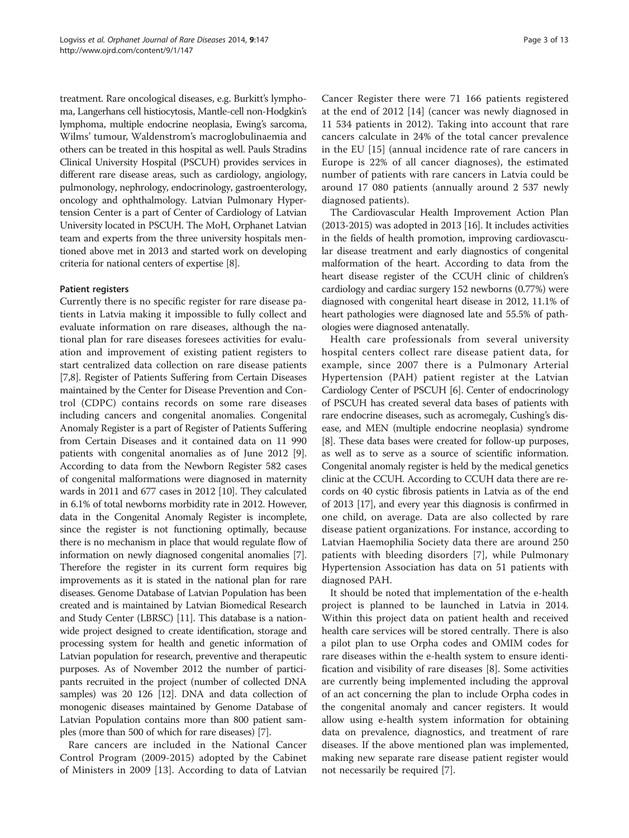treatment. Rare oncological diseases, e.g. Burkitt's lymphoma, Langerhans cell histiocytosis, Mantle-cell non-Hodgkin's lymphoma, multiple endocrine neoplasia, Ewing's sarcoma, Wilms' tumour, Waldenstrom's macroglobulinaemia and others can be treated in this hospital as well. Pauls Stradins Clinical University Hospital (PSCUH) provides services in different rare disease areas, such as cardiology, angiology, pulmonology, nephrology, endocrinology, gastroenterology, oncology and ophthalmology. Latvian Pulmonary Hypertension Center is a part of Center of Cardiology of Latvian University located in PSCUH. The MoH, Orphanet Latvian team and experts from the three university hospitals mentioned above met in 2013 and started work on developing criteria for national centers of expertise [\[8\]](#page-12-0).

# Patient registers

Currently there is no specific register for rare disease patients in Latvia making it impossible to fully collect and evaluate information on rare diseases, although the national plan for rare diseases foresees activities for evaluation and improvement of existing patient registers to start centralized data collection on rare disease patients [[7,8](#page-12-0)]. Register of Patients Suffering from Certain Diseases maintained by the Center for Disease Prevention and Control (CDPC) contains records on some rare diseases including cancers and congenital anomalies. Congenital Anomaly Register is a part of Register of Patients Suffering from Certain Diseases and it contained data on 11 990 patients with congenital anomalies as of June 2012 [[9](#page-12-0)]. According to data from the Newborn Register 582 cases of congenital malformations were diagnosed in maternity wards in 2011 and 677 cases in 2012 [\[10\]](#page-12-0). They calculated in 6.1% of total newborns morbidity rate in 2012. However, data in the Congenital Anomaly Register is incomplete, since the register is not functioning optimally, because there is no mechanism in place that would regulate flow of information on newly diagnosed congenital anomalies [[7](#page-12-0)]. Therefore the register in its current form requires big improvements as it is stated in the national plan for rare diseases. Genome Database of Latvian Population has been created and is maintained by Latvian Biomedical Research and Study Center (LBRSC) [\[11\]](#page-12-0). This database is a nationwide project designed to create identification, storage and processing system for health and genetic information of Latvian population for research, preventive and therapeutic purposes. As of November 2012 the number of participants recruited in the project (number of collected DNA samples) was 20 126 [[12\]](#page-12-0). DNA and data collection of monogenic diseases maintained by Genome Database of Latvian Population contains more than 800 patient samples (more than 500 of which for rare diseases) [\[7\]](#page-12-0).

Rare cancers are included in the National Cancer Control Program (2009-2015) adopted by the Cabinet of Ministers in 2009 [\[13\]](#page-12-0). According to data of Latvian

Cancer Register there were 71 166 patients registered at the end of 2012 [[14](#page-12-0)] (cancer was newly diagnosed in 11 534 patients in 2012). Taking into account that rare cancers calculate in 24% of the total cancer prevalence in the EU [[15\]](#page-12-0) (annual incidence rate of rare cancers in Europe is 22% of all cancer diagnoses), the estimated number of patients with rare cancers in Latvia could be around 17 080 patients (annually around 2 537 newly diagnosed patients).

The Cardiovascular Health Improvement Action Plan (2013-2015) was adopted in 2013 [[16](#page-12-0)]. It includes activities in the fields of health promotion, improving cardiovascular disease treatment and early diagnostics of congenital malformation of the heart. According to data from the heart disease register of the CCUH clinic of children's cardiology and cardiac surgery 152 newborns (0.77%) were diagnosed with congenital heart disease in 2012, 11.1% of heart pathologies were diagnosed late and 55.5% of pathologies were diagnosed antenatally.

Health care professionals from several university hospital centers collect rare disease patient data, for example, since 2007 there is a Pulmonary Arterial Hypertension (PAH) patient register at the Latvian Cardiology Center of PSCUH [\[6\]](#page-12-0). Center of endocrinology of PSCUH has created several data bases of patients with rare endocrine diseases, such as acromegaly, Cushing's disease, and MEN (multiple endocrine neoplasia) syndrome [[8](#page-12-0)]. These data bases were created for follow-up purposes, as well as to serve as a source of scientific information. Congenital anomaly register is held by the medical genetics clinic at the CCUH. According to CCUH data there are records on 40 cystic fibrosis patients in Latvia as of the end of 2013 [\[17\]](#page-12-0), and every year this diagnosis is confirmed in one child, on average. Data are also collected by rare disease patient organizations. For instance, according to Latvian Haemophilia Society data there are around 250 patients with bleeding disorders [\[7](#page-12-0)], while Pulmonary Hypertension Association has data on 51 patients with diagnosed PAH.

It should be noted that implementation of the e-health project is planned to be launched in Latvia in 2014. Within this project data on patient health and received health care services will be stored centrally. There is also a pilot plan to use Orpha codes and OMIM codes for rare diseases within the e-health system to ensure identification and visibility of rare diseases [[8](#page-12-0)]. Some activities are currently being implemented including the approval of an act concerning the plan to include Orpha codes in the congenital anomaly and cancer registers. It would allow using e-health system information for obtaining data on prevalence, diagnostics, and treatment of rare diseases. If the above mentioned plan was implemented, making new separate rare disease patient register would not necessarily be required [\[7](#page-12-0)].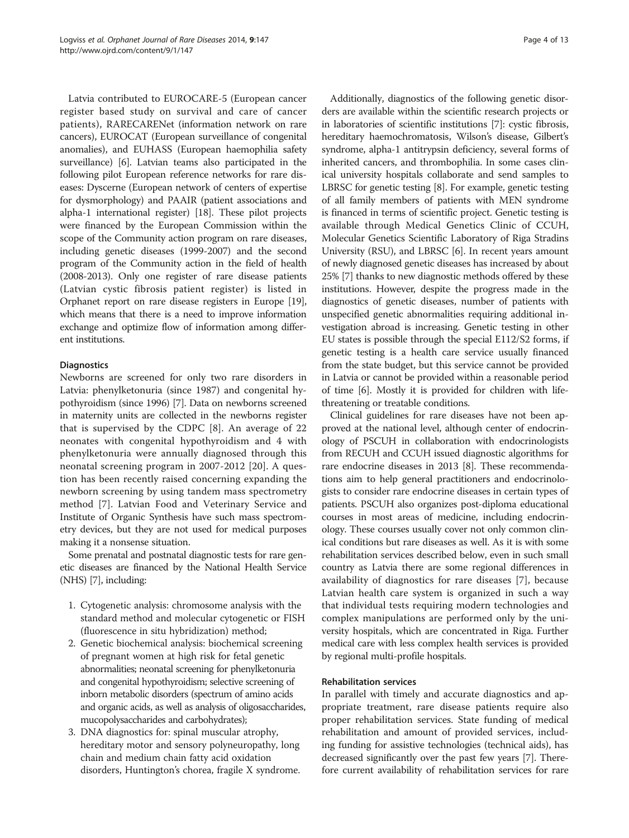Latvia contributed to EUROCARE-5 (European cancer register based study on survival and care of cancer patients), RARECARENet (information network on rare cancers), EUROCAT (European surveillance of congenital anomalies), and EUHASS (European haemophilia safety surveillance) [[6\]](#page-12-0). Latvian teams also participated in the following pilot European reference networks for rare diseases: Dyscerne (European network of centers of expertise for dysmorphology) and PAAIR (patient associations and alpha-1 international register) [[18](#page-12-0)]. These pilot projects were financed by the European Commission within the scope of the Community action program on rare diseases, including genetic diseases (1999-2007) and the second program of the Community action in the field of health (2008-2013). Only one register of rare disease patients (Latvian cystic fibrosis patient register) is listed in Orphanet report on rare disease registers in Europe [\[19](#page-12-0)], which means that there is a need to improve information exchange and optimize flow of information among different institutions.

# **Diagnostics**

Newborns are screened for only two rare disorders in Latvia: phenylketonuria (since 1987) and congenital hypothyroidism (since 1996) [[7](#page-12-0)]. Data on newborns screened in maternity units are collected in the newborns register that is supervised by the CDPC [[8\]](#page-12-0). An average of 22 neonates with congenital hypothyroidism and 4 with phenylketonuria were annually diagnosed through this neonatal screening program in 2007-2012 [[20\]](#page-12-0). A question has been recently raised concerning expanding the newborn screening by using tandem mass spectrometry method [\[7](#page-12-0)]. Latvian Food and Veterinary Service and Institute of Organic Synthesis have such mass spectrometry devices, but they are not used for medical purposes making it a nonsense situation.

Some prenatal and postnatal diagnostic tests for rare genetic diseases are financed by the National Health Service (NHS) [[7\]](#page-12-0), including:

- 1. Cytogenetic analysis: chromosome analysis with the standard method and molecular cytogenetic or FISH (fluorescence in situ hybridization) method;
- 2. Genetic biochemical analysis: biochemical screening of pregnant women at high risk for fetal genetic abnormalities; neonatal screening for phenylketonuria and congenital hypothyroidism; selective screening of inborn metabolic disorders (spectrum of amino acids and organic acids, as well as analysis of oligosaccharides, mucopolysaccharides and carbohydrates);
- 3. DNA diagnostics for: spinal muscular atrophy, hereditary motor and sensory polyneuropathy, long chain and medium chain fatty acid oxidation disorders, Huntington's chorea, fragile X syndrome.

Additionally, diagnostics of the following genetic disorders are available within the scientific research projects or in laboratories of scientific institutions [\[7](#page-12-0)]: cystic fibrosis, hereditary haemochromatosis, Wilson's disease, Gilbert's syndrome, alpha-1 antitrypsin deficiency, several forms of inherited cancers, and thrombophilia. In some cases clinical university hospitals collaborate and send samples to LBRSC for genetic testing [[8\]](#page-12-0). For example, genetic testing of all family members of patients with MEN syndrome is financed in terms of scientific project. Genetic testing is available through Medical Genetics Clinic of CCUH, Molecular Genetics Scientific Laboratory of Riga Stradins University (RSU), and LBRSC [\[6\]](#page-12-0). In recent years amount of newly diagnosed genetic diseases has increased by about 25% [[7\]](#page-12-0) thanks to new diagnostic methods offered by these institutions. However, despite the progress made in the diagnostics of genetic diseases, number of patients with unspecified genetic abnormalities requiring additional investigation abroad is increasing. Genetic testing in other EU states is possible through the special E112/S2 forms, if genetic testing is a health care service usually financed from the state budget, but this service cannot be provided in Latvia or cannot be provided within a reasonable period of time [\[6](#page-12-0)]. Mostly it is provided for children with lifethreatening or treatable conditions.

Clinical guidelines for rare diseases have not been approved at the national level, although center of endocrinology of PSCUH in collaboration with endocrinologists from RECUH and CCUH issued diagnostic algorithms for rare endocrine diseases in 2013 [\[8\]](#page-12-0). These recommendations aim to help general practitioners and endocrinologists to consider rare endocrine diseases in certain types of patients. PSCUH also organizes post-diploma educational courses in most areas of medicine, including endocrinology. These courses usually cover not only common clinical conditions but rare diseases as well. As it is with some rehabilitation services described below, even in such small country as Latvia there are some regional differences in availability of diagnostics for rare diseases [[7\]](#page-12-0), because Latvian health care system is organized in such a way that individual tests requiring modern technologies and complex manipulations are performed only by the university hospitals, which are concentrated in Riga. Further medical care with less complex health services is provided by regional multi-profile hospitals.

# Rehabilitation services

In parallel with timely and accurate diagnostics and appropriate treatment, rare disease patients require also proper rehabilitation services. State funding of medical rehabilitation and amount of provided services, including funding for assistive technologies (technical aids), has decreased significantly over the past few years [\[7\]](#page-12-0). Therefore current availability of rehabilitation services for rare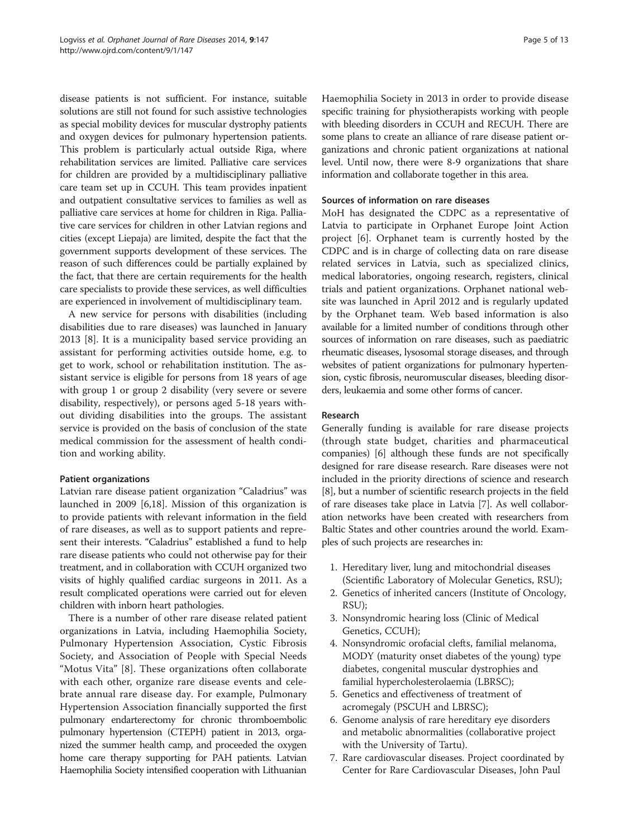disease patients is not sufficient. For instance, suitable solutions are still not found for such assistive technologies as special mobility devices for muscular dystrophy patients and oxygen devices for pulmonary hypertension patients. This problem is particularly actual outside Riga, where rehabilitation services are limited. Palliative care services for children are provided by a multidisciplinary palliative care team set up in CCUH. This team provides inpatient and outpatient consultative services to families as well as palliative care services at home for children in Riga. Palliative care services for children in other Latvian regions and cities (except Liepaja) are limited, despite the fact that the government supports development of these services. The reason of such differences could be partially explained by the fact, that there are certain requirements for the health care specialists to provide these services, as well difficulties are experienced in involvement of multidisciplinary team.

A new service for persons with disabilities (including disabilities due to rare diseases) was launched in January 2013 [\[8](#page-12-0)]. It is a municipality based service providing an assistant for performing activities outside home, e.g. to get to work, school or rehabilitation institution. The assistant service is eligible for persons from 18 years of age with group 1 or group 2 disability (very severe or severe disability, respectively), or persons aged 5-18 years without dividing disabilities into the groups. The assistant service is provided on the basis of conclusion of the state medical commission for the assessment of health condition and working ability.

# Patient organizations

Latvian rare disease patient organization "Caladrius" was launched in 2009 [\[6,18](#page-12-0)]. Mission of this organization is to provide patients with relevant information in the field of rare diseases, as well as to support patients and represent their interests. "Caladrius" established a fund to help rare disease patients who could not otherwise pay for their treatment, and in collaboration with CCUH organized two visits of highly qualified cardiac surgeons in 2011. As a result complicated operations were carried out for eleven children with inborn heart pathologies.

There is a number of other rare disease related patient organizations in Latvia, including Haemophilia Society, Pulmonary Hypertension Association, Cystic Fibrosis Society, and Association of People with Special Needs "Motus Vita" [[8](#page-12-0)]. These organizations often collaborate with each other, organize rare disease events and celebrate annual rare disease day. For example, Pulmonary Hypertension Association financially supported the first pulmonary endarterectomy for chronic thromboembolic pulmonary hypertension (CTEPH) patient in 2013, organized the summer health camp, and proceeded the oxygen home care therapy supporting for PAH patients. Latvian Haemophilia Society intensified cooperation with Lithuanian Haemophilia Society in 2013 in order to provide disease specific training for physiotherapists working with people with bleeding disorders in CCUH and RECUH. There are some plans to create an alliance of rare disease patient organizations and chronic patient organizations at national level. Until now, there were 8-9 organizations that share information and collaborate together in this area.

# Sources of information on rare diseases

MoH has designated the CDPC as a representative of Latvia to participate in Orphanet Europe Joint Action project [\[6](#page-12-0)]. Orphanet team is currently hosted by the CDPC and is in charge of collecting data on rare disease related services in Latvia, such as specialized clinics, medical laboratories, ongoing research, registers, clinical trials and patient organizations. Orphanet national website was launched in April 2012 and is regularly updated by the Orphanet team. Web based information is also available for a limited number of conditions through other sources of information on rare diseases, such as paediatric rheumatic diseases, lysosomal storage diseases, and through websites of patient organizations for pulmonary hypertension, cystic fibrosis, neuromuscular diseases, bleeding disorders, leukaemia and some other forms of cancer.

#### Research

Generally funding is available for rare disease projects (through state budget, charities and pharmaceutical companies) [[6\]](#page-12-0) although these funds are not specifically designed for rare disease research. Rare diseases were not included in the priority directions of science and research [[8\]](#page-12-0), but a number of scientific research projects in the field of rare diseases take place in Latvia [\[7\]](#page-12-0). As well collaboration networks have been created with researchers from Baltic States and other countries around the world. Examples of such projects are researches in:

- 1. Hereditary liver, lung and mitochondrial diseases (Scientific Laboratory of Molecular Genetics, RSU);
- 2. Genetics of inherited cancers (Institute of Oncology, RSU);
- 3. Nonsyndromic hearing loss (Clinic of Medical Genetics, CCUH);
- 4. Nonsyndromic orofacial clefts, familial melanoma, MODY (maturity onset diabetes of the young) type diabetes, congenital muscular dystrophies and familial hypercholesterolaemia (LBRSC);
- 5. Genetics and effectiveness of treatment of acromegaly (PSCUH and LBRSC);
- 6. Genome analysis of rare hereditary eye disorders and metabolic abnormalities (collaborative project with the University of Tartu).
- 7. Rare cardiovascular diseases. Project coordinated by Center for Rare Cardiovascular Diseases, John Paul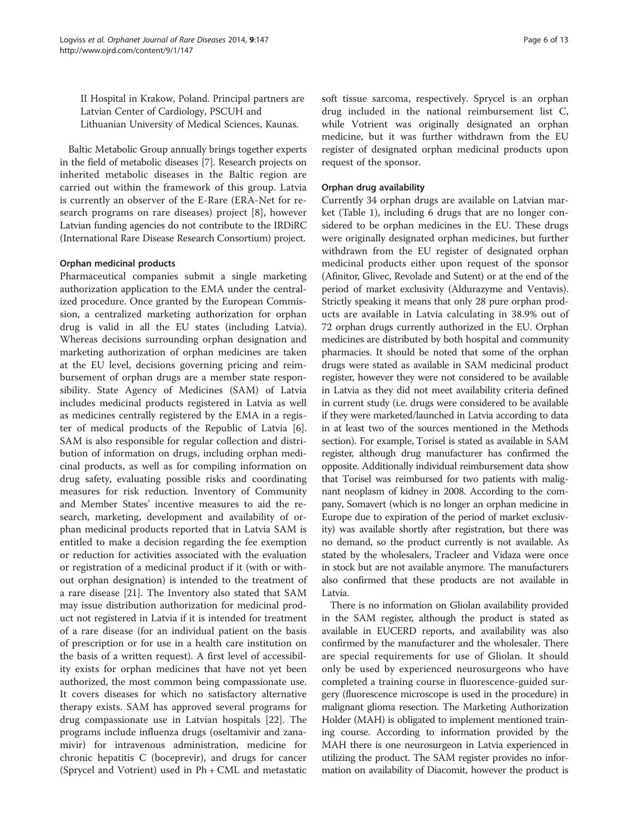II Hospital in Krakow, Poland. Principal partners are Latvian Center of Cardiology, PSCUH and Lithuanian University of Medical Sciences, Kaunas.

Baltic Metabolic Group annually brings together experts in the field of metabolic diseases [[7\]](#page-12-0). Research projects on inherited metabolic diseases in the Baltic region are carried out within the framework of this group. Latvia is currently an observer of the E-Rare (ERA-Net for research programs on rare diseases) project [\[8](#page-12-0)], however Latvian funding agencies do not contribute to the IRDiRC (International Rare Disease Research Consortium) project.

# Orphan medicinal products

Pharmaceutical companies submit a single marketing authorization application to the EMA under the centralized procedure. Once granted by the European Commission, a centralized marketing authorization for orphan drug is valid in all the EU states (including Latvia). Whereas decisions surrounding orphan designation and marketing authorization of orphan medicines are taken at the EU level, decisions governing pricing and reimbursement of orphan drugs are a member state responsibility. State Agency of Medicines (SAM) of Latvia includes medicinal products registered in Latvia as well as medicines centrally registered by the EMA in a register of medical products of the Republic of Latvia [\[6](#page-12-0)]. SAM is also responsible for regular collection and distribution of information on drugs, including orphan medicinal products, as well as for compiling information on drug safety, evaluating possible risks and coordinating measures for risk reduction. Inventory of Community and Member States' incentive measures to aid the research, marketing, development and availability of orphan medicinal products reported that in Latvia SAM is entitled to make a decision regarding the fee exemption or reduction for activities associated with the evaluation or registration of a medicinal product if it (with or without orphan designation) is intended to the treatment of a rare disease [\[21](#page-12-0)]. The Inventory also stated that SAM may issue distribution authorization for medicinal product not registered in Latvia if it is intended for treatment of a rare disease (for an individual patient on the basis of prescription or for use in a health care institution on the basis of a written request). A first level of accessibility exists for orphan medicines that have not yet been authorized, the most common being compassionate use. It covers diseases for which no satisfactory alternative therapy exists. SAM has approved several programs for drug compassionate use in Latvian hospitals [[22](#page-12-0)]. The programs include influenza drugs (oseltamivir and zanamivir) for intravenous administration, medicine for chronic hepatitis C (boceprevir), and drugs for cancer (Sprycel and Votrient) used in Ph + CML and metastatic

soft tissue sarcoma, respectively. Sprycel is an orphan drug included in the national reimbursement list C, while Votrient was originally designated an orphan medicine, but it was further withdrawn from the EU register of designated orphan medicinal products upon request of the sponsor.

# Orphan drug availability

Currently 34 orphan drugs are available on Latvian market (Table [1\)](#page-6-0), including 6 drugs that are no longer considered to be orphan medicines in the EU. These drugs were originally designated orphan medicines, but further withdrawn from the EU register of designated orphan medicinal products either upon request of the sponsor (Afinitor, Glivec, Revolade and Sutent) or at the end of the period of market exclusivity (Aldurazyme and Ventavis). Strictly speaking it means that only 28 pure orphan products are available in Latvia calculating in 38.9% out of 72 orphan drugs currently authorized in the EU. Orphan medicines are distributed by both hospital and community pharmacies. It should be noted that some of the orphan drugs were stated as available in SAM medicinal product register, however they were not considered to be available in Latvia as they did not meet availability criteria defined in current study (i.e. drugs were considered to be available if they were marketed/launched in Latvia according to data in at least two of the sources mentioned in the Methods section). For example, Torisel is stated as available in SAM register, although drug manufacturer has confirmed the opposite. Additionally individual reimbursement data show that Torisel was reimbursed for two patients with malignant neoplasm of kidney in 2008. According to the company, Somavert (which is no longer an orphan medicine in Europe due to expiration of the period of market exclusivity) was available shortly after registration, but there was no demand, so the product currently is not available. As stated by the wholesalers, Tracleer and Vidaza were once in stock but are not available anymore. The manufacturers also confirmed that these products are not available in Latvia.

There is no information on Gliolan availability provided in the SAM register, although the product is stated as available in EUCERD reports, and availability was also confirmed by the manufacturer and the wholesaler. There are special requirements for use of Gliolan. It should only be used by experienced neurosurgeons who have completed a training course in fluorescence-guided surgery (fluorescence microscope is used in the procedure) in malignant glioma resection. The Marketing Authorization Holder (MAH) is obligated to implement mentioned training course. According to information provided by the MAH there is one neurosurgeon in Latvia experienced in utilizing the product. The SAM register provides no information on availability of Diacomit, however the product is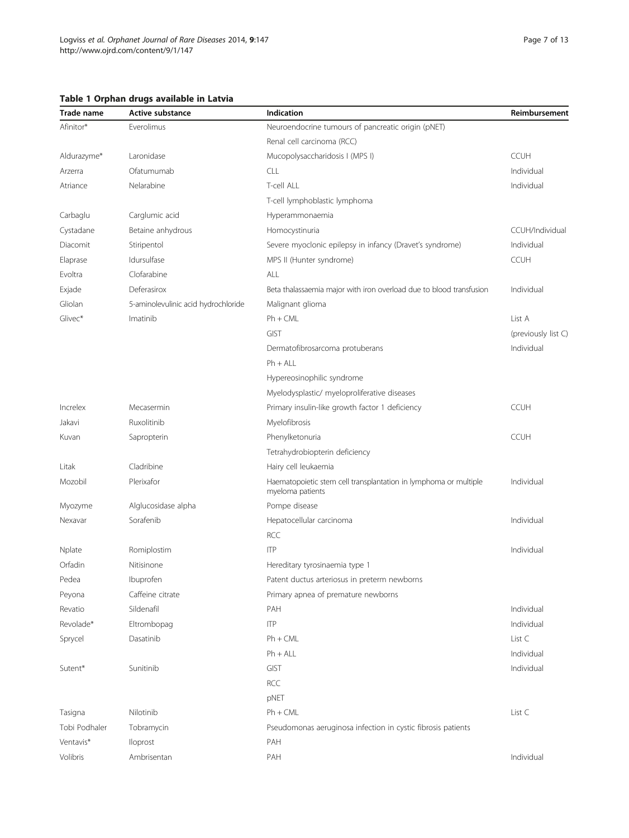#### <span id="page-6-0"></span>Table 1 Orphan drugs available in Latvia

| Trade name    | Active substance                    | <b>Indication</b>                                                                    | Reimbursement       |
|---------------|-------------------------------------|--------------------------------------------------------------------------------------|---------------------|
| Afinitor*     | Fverolimus                          | Neuroendocrine tumours of pancreatic origin (pNET)                                   |                     |
|               |                                     | Renal cell carcinoma (RCC)                                                           |                     |
| Aldurazyme*   | Laronidase                          | Mucopolysaccharidosis I (MPS I)                                                      | <b>CCUH</b>         |
| Arzerra       | Ofatumumab                          | <b>CLL</b>                                                                           | Individual          |
| Atriance      | Nelarabine                          | T-cell ALL                                                                           | Individual          |
|               |                                     | T-cell lymphoblastic lymphoma                                                        |                     |
| Carbaglu      | Carglumic acid                      | Hyperammonaemia                                                                      |                     |
| Cystadane     | Betaine anhydrous                   | Homocystinuria                                                                       | CCUH/Individual     |
| Diacomit      | Stiripentol                         | Severe myoclonic epilepsy in infancy (Dravet's syndrome)                             | Individual          |
| Elaprase      | Idursulfase                         | MPS II (Hunter syndrome)                                                             | <b>CCUH</b>         |
| Evoltra       | Clofarabine                         | ALL                                                                                  |                     |
| Exjade        | Deferasirox                         | Beta thalassaemia major with iron overload due to blood transfusion                  | Individual          |
| Gliolan       | 5-aminolevulinic acid hydrochloride | Malignant glioma                                                                     |                     |
| Glivec*       | Imatinib                            | $Ph + CML$                                                                           | List A              |
|               |                                     | <b>GIST</b>                                                                          | (previously list C) |
|               |                                     | Dermatofibrosarcoma protuberans                                                      | Individual          |
|               |                                     | $Ph + ALL$                                                                           |                     |
|               |                                     | Hypereosinophilic syndrome                                                           |                     |
|               |                                     | Myelodysplastic/ myeloproliferative diseases                                         |                     |
| Increlex      | Mecasermin                          | Primary insulin-like growth factor 1 deficiency                                      | <b>CCUH</b>         |
| Jakavi        | Ruxolitinib                         | Myelofibrosis                                                                        |                     |
| Kuvan         | Sapropterin                         | Phenylketonuria                                                                      | <b>CCUH</b>         |
|               |                                     | Tetrahydrobiopterin deficiency                                                       |                     |
| Litak         | Cladribine                          | Hairy cell leukaemia                                                                 |                     |
| Mozobil       | Plerixafor                          | Haematopoietic stem cell transplantation in lymphoma or multiple<br>myeloma patients | Individual          |
| Myozyme       | Alglucosidase alpha                 | Pompe disease                                                                        |                     |
| Nexavar       | Sorafenib                           | Hepatocellular carcinoma                                                             | Individual          |
|               |                                     | <b>RCC</b>                                                                           |                     |
| Nplate        | Romiplostim                         | <b>ITP</b>                                                                           | Individual          |
| Orfadin       | Nitisinone                          | Hereditary tyrosinaemia type 1                                                       |                     |
| Pedea         | Ibuprofen                           | Patent ductus arteriosus in preterm newborns                                         |                     |
| Peyona        | Caffeine citrate                    | Primary apnea of premature newborns                                                  |                     |
| Revatio       | Sildenafil                          | PAH                                                                                  | Individual          |
| Revolade*     | Eltrombopag                         | <b>ITP</b>                                                                           | Individual          |
| Sprycel       | Dasatinib                           | $Ph + CML$                                                                           | List C              |
|               |                                     | $Ph + ALL$                                                                           | Individual          |
| Sutent*       | Sunitinib                           | <b>GIST</b>                                                                          | Individual          |
|               |                                     | <b>RCC</b>                                                                           |                     |
|               |                                     | pNET                                                                                 |                     |
| Tasigna       | Nilotinib                           | $Ph + CML$                                                                           | List C              |
| Tobi Podhaler | Tobramycin                          | Pseudomonas aeruginosa infection in cystic fibrosis patients                         |                     |
| Ventavis*     | lloprost                            | PAH                                                                                  |                     |
| Volibris      | Ambrisentan                         | PAH                                                                                  | Individual          |
|               |                                     |                                                                                      |                     |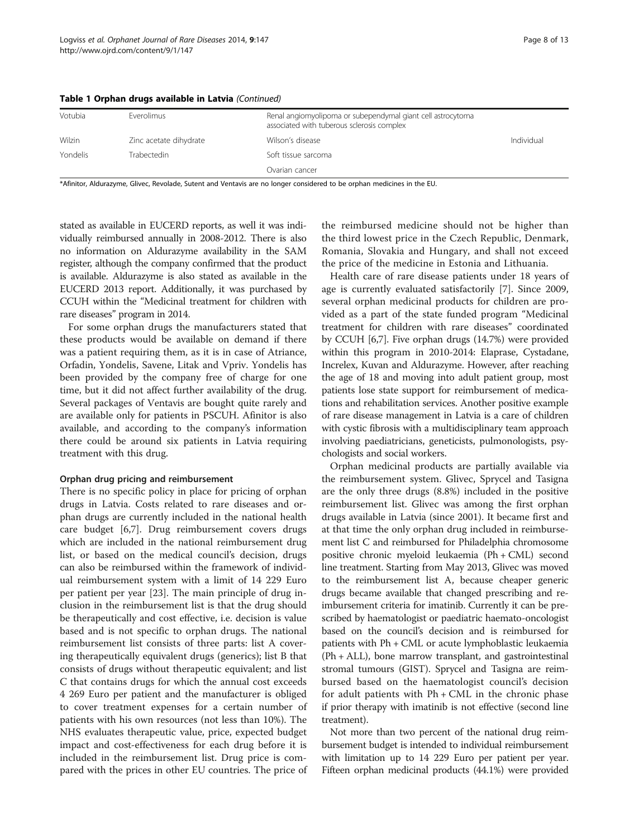| Votubia  | Everolimus             | Renal angiomyolipoma or subependymal giant cell astrocytoma<br>associated with tuberous sclerosis complex |            |
|----------|------------------------|-----------------------------------------------------------------------------------------------------------|------------|
| Wilzin   | Zinc acetate dihydrate | Wilson's disease                                                                                          | Individual |
| Yondelis | Trabectedin            | Soft tissue sarcoma                                                                                       |            |
|          |                        | Ovarian cancer                                                                                            |            |

#### Table 1 Orphan drugs available in Latvia (Continued)

\*Afinitor, Aldurazyme, Glivec, Revolade, Sutent and Ventavis are no longer considered to be orphan medicines in the EU.

stated as available in EUCERD reports, as well it was individually reimbursed annually in 2008-2012. There is also no information on Aldurazyme availability in the SAM register, although the company confirmed that the product is available. Aldurazyme is also stated as available in the EUCERD 2013 report. Additionally, it was purchased by CCUH within the "Medicinal treatment for children with rare diseases" program in 2014.

For some orphan drugs the manufacturers stated that these products would be available on demand if there was a patient requiring them, as it is in case of Atriance, Orfadin, Yondelis, Savene, Litak and Vpriv. Yondelis has been provided by the company free of charge for one time, but it did not affect further availability of the drug. Several packages of Ventavis are bought quite rarely and are available only for patients in PSCUH. Afinitor is also available, and according to the company's information there could be around six patients in Latvia requiring treatment with this drug.

#### Orphan drug pricing and reimbursement

There is no specific policy in place for pricing of orphan drugs in Latvia. Costs related to rare diseases and orphan drugs are currently included in the national health care budget [[6,7\]](#page-12-0). Drug reimbursement covers drugs which are included in the national reimbursement drug list, or based on the medical council's decision, drugs can also be reimbursed within the framework of individual reimbursement system with a limit of 14 229 Euro per patient per year [[23](#page-12-0)]. The main principle of drug inclusion in the reimbursement list is that the drug should be therapeutically and cost effective, i.e. decision is value based and is not specific to orphan drugs. The national reimbursement list consists of three parts: list A covering therapeutically equivalent drugs (generics); list B that consists of drugs without therapeutic equivalent; and list C that contains drugs for which the annual cost exceeds 4 269 Euro per patient and the manufacturer is obliged to cover treatment expenses for a certain number of patients with his own resources (not less than 10%). The NHS evaluates therapeutic value, price, expected budget impact and cost-effectiveness for each drug before it is included in the reimbursement list. Drug price is compared with the prices in other EU countries. The price of the reimbursed medicine should not be higher than the third lowest price in the Czech Republic, Denmark, Romania, Slovakia and Hungary, and shall not exceed the price of the medicine in Estonia and Lithuania.

Health care of rare disease patients under 18 years of age is currently evaluated satisfactorily [[7\]](#page-12-0). Since 2009, several orphan medicinal products for children are provided as a part of the state funded program "Medicinal treatment for children with rare diseases" coordinated by CCUH [[6,7](#page-12-0)]. Five orphan drugs (14.7%) were provided within this program in 2010-2014: Elaprase, Cystadane, Increlex, Kuvan and Aldurazyme. However, after reaching the age of 18 and moving into adult patient group, most patients lose state support for reimbursement of medications and rehabilitation services. Another positive example of rare disease management in Latvia is a care of children with cystic fibrosis with a multidisciplinary team approach involving paediatricians, geneticists, pulmonologists, psychologists and social workers.

Orphan medicinal products are partially available via the reimbursement system. Glivec, Sprycel and Tasigna are the only three drugs (8.8%) included in the positive reimbursement list. Glivec was among the first orphan drugs available in Latvia (since 2001). It became first and at that time the only orphan drug included in reimbursement list C and reimbursed for Philadelphia chromosome positive chronic myeloid leukaemia (Ph + CML) second line treatment. Starting from May 2013, Glivec was moved to the reimbursement list A, because cheaper generic drugs became available that changed prescribing and reimbursement criteria for imatinib. Currently it can be prescribed by haematologist or paediatric haemato-oncologist based on the council's decision and is reimbursed for patients with Ph + CML or acute lymphoblastic leukaemia (Ph + ALL), bone marrow transplant, and gastrointestinal stromal tumours (GIST). Sprycel and Tasigna are reimbursed based on the haematologist council's decision for adult patients with Ph + CML in the chronic phase if prior therapy with imatinib is not effective (second line treatment).

Not more than two percent of the national drug reimbursement budget is intended to individual reimbursement with limitation up to 14 229 Euro per patient per year. Fifteen orphan medicinal products (44.1%) were provided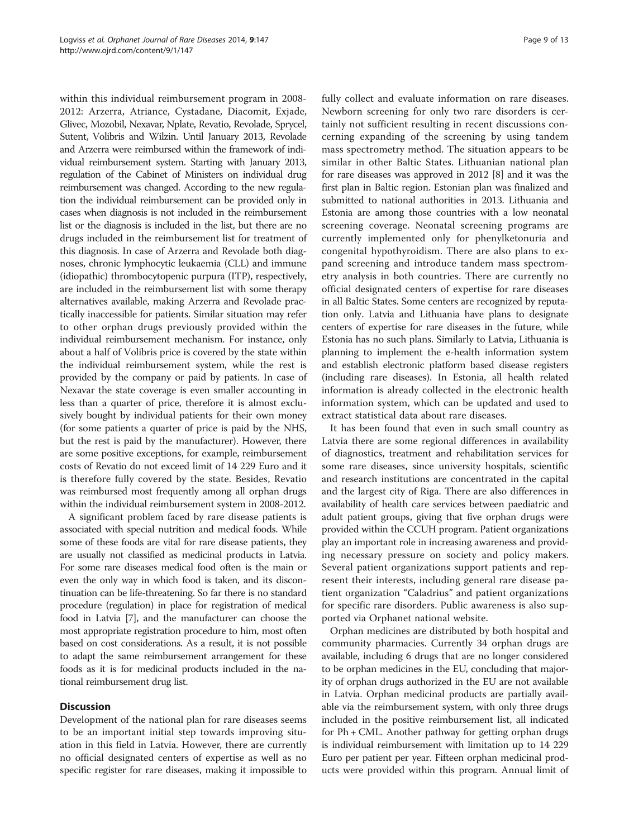within this individual reimbursement program in 2008- 2012: Arzerra, Atriance, Cystadane, Diacomit, Exjade, Glivec, Mozobil, Nexavar, Nplate, Revatio, Revolade, Sprycel, Sutent, Volibris and Wilzin. Until January 2013, Revolade and Arzerra were reimbursed within the framework of individual reimbursement system. Starting with January 2013, regulation of the Cabinet of Ministers on individual drug reimbursement was changed. According to the new regulation the individual reimbursement can be provided only in cases when diagnosis is not included in the reimbursement list or the diagnosis is included in the list, but there are no drugs included in the reimbursement list for treatment of this diagnosis. In case of Arzerra and Revolade both diagnoses, chronic lymphocytic leukaemia (CLL) and immune (idiopathic) thrombocytopenic purpura (ITP), respectively, are included in the reimbursement list with some therapy alternatives available, making Arzerra and Revolade practically inaccessible for patients. Similar situation may refer to other orphan drugs previously provided within the individual reimbursement mechanism. For instance, only about a half of Volibris price is covered by the state within the individual reimbursement system, while the rest is provided by the company or paid by patients. In case of Nexavar the state coverage is even smaller accounting in less than a quarter of price, therefore it is almost exclusively bought by individual patients for their own money (for some patients a quarter of price is paid by the NHS, but the rest is paid by the manufacturer). However, there are some positive exceptions, for example, reimbursement costs of Revatio do not exceed limit of 14 229 Euro and it is therefore fully covered by the state. Besides, Revatio was reimbursed most frequently among all orphan drugs within the individual reimbursement system in 2008-2012.

A significant problem faced by rare disease patients is associated with special nutrition and medical foods. While some of these foods are vital for rare disease patients, they are usually not classified as medicinal products in Latvia. For some rare diseases medical food often is the main or even the only way in which food is taken, and its discontinuation can be life-threatening. So far there is no standard procedure (regulation) in place for registration of medical food in Latvia [[7](#page-12-0)], and the manufacturer can choose the most appropriate registration procedure to him, most often based on cost considerations. As a result, it is not possible to adapt the same reimbursement arrangement for these foods as it is for medicinal products included in the national reimbursement drug list.

# **Discussion**

Development of the national plan for rare diseases seems to be an important initial step towards improving situation in this field in Latvia. However, there are currently no official designated centers of expertise as well as no specific register for rare diseases, making it impossible to

fully collect and evaluate information on rare diseases. Newborn screening for only two rare disorders is certainly not sufficient resulting in recent discussions concerning expanding of the screening by using tandem mass spectrometry method. The situation appears to be similar in other Baltic States. Lithuanian national plan for rare diseases was approved in 2012 [\[8](#page-12-0)] and it was the first plan in Baltic region. Estonian plan was finalized and submitted to national authorities in 2013. Lithuania and Estonia are among those countries with a low neonatal screening coverage. Neonatal screening programs are currently implemented only for phenylketonuria and congenital hypothyroidism. There are also plans to expand screening and introduce tandem mass spectrometry analysis in both countries. There are currently no official designated centers of expertise for rare diseases in all Baltic States. Some centers are recognized by reputation only. Latvia and Lithuania have plans to designate centers of expertise for rare diseases in the future, while Estonia has no such plans. Similarly to Latvia, Lithuania is planning to implement the e-health information system and establish electronic platform based disease registers (including rare diseases). In Estonia, all health related information is already collected in the electronic health information system, which can be updated and used to extract statistical data about rare diseases.

It has been found that even in such small country as Latvia there are some regional differences in availability of diagnostics, treatment and rehabilitation services for some rare diseases, since university hospitals, scientific and research institutions are concentrated in the capital and the largest city of Riga. There are also differences in availability of health care services between paediatric and adult patient groups, giving that five orphan drugs were provided within the CCUH program. Patient organizations play an important role in increasing awareness and providing necessary pressure on society and policy makers. Several patient organizations support patients and represent their interests, including general rare disease patient organization "Caladrius" and patient organizations for specific rare disorders. Public awareness is also supported via Orphanet national website.

Orphan medicines are distributed by both hospital and community pharmacies. Currently 34 orphan drugs are available, including 6 drugs that are no longer considered to be orphan medicines in the EU, concluding that majority of orphan drugs authorized in the EU are not available in Latvia. Orphan medicinal products are partially available via the reimbursement system, with only three drugs included in the positive reimbursement list, all indicated for Ph + CML. Another pathway for getting orphan drugs is individual reimbursement with limitation up to 14 229 Euro per patient per year. Fifteen orphan medicinal products were provided within this program. Annual limit of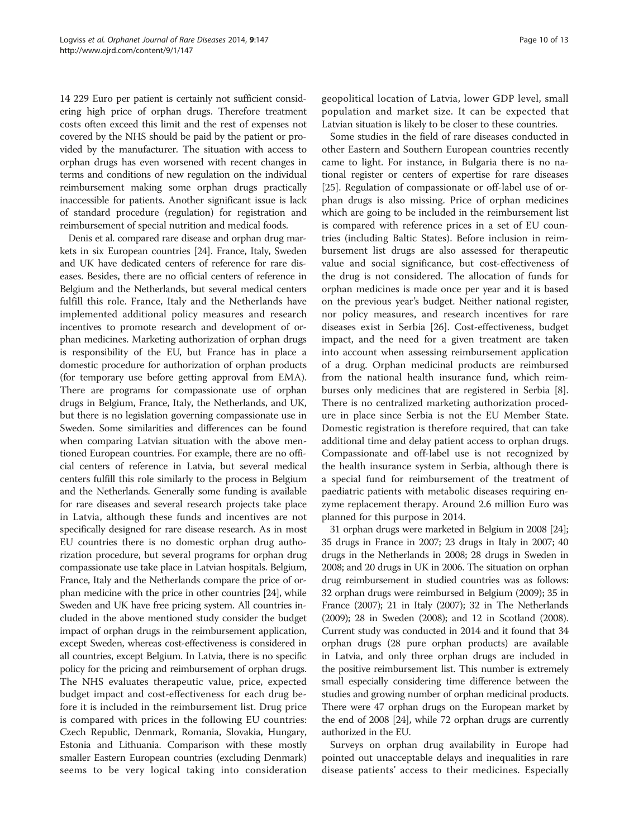14 229 Euro per patient is certainly not sufficient considering high price of orphan drugs. Therefore treatment costs often exceed this limit and the rest of expenses not covered by the NHS should be paid by the patient or provided by the manufacturer. The situation with access to orphan drugs has even worsened with recent changes in terms and conditions of new regulation on the individual reimbursement making some orphan drugs practically inaccessible for patients. Another significant issue is lack of standard procedure (regulation) for registration and reimbursement of special nutrition and medical foods.

Denis et al. compared rare disease and orphan drug markets in six European countries [[24](#page-12-0)]. France, Italy, Sweden and UK have dedicated centers of reference for rare diseases. Besides, there are no official centers of reference in Belgium and the Netherlands, but several medical centers fulfill this role. France, Italy and the Netherlands have implemented additional policy measures and research incentives to promote research and development of orphan medicines. Marketing authorization of orphan drugs is responsibility of the EU, but France has in place a domestic procedure for authorization of orphan products (for temporary use before getting approval from EMA). There are programs for compassionate use of orphan drugs in Belgium, France, Italy, the Netherlands, and UK, but there is no legislation governing compassionate use in Sweden. Some similarities and differences can be found when comparing Latvian situation with the above mentioned European countries. For example, there are no official centers of reference in Latvia, but several medical centers fulfill this role similarly to the process in Belgium and the Netherlands. Generally some funding is available for rare diseases and several research projects take place in Latvia, although these funds and incentives are not specifically designed for rare disease research. As in most EU countries there is no domestic orphan drug authorization procedure, but several programs for orphan drug compassionate use take place in Latvian hospitals. Belgium, France, Italy and the Netherlands compare the price of orphan medicine with the price in other countries [\[24\]](#page-12-0), while Sweden and UK have free pricing system. All countries included in the above mentioned study consider the budget impact of orphan drugs in the reimbursement application, except Sweden, whereas cost-effectiveness is considered in all countries, except Belgium. In Latvia, there is no specific policy for the pricing and reimbursement of orphan drugs. The NHS evaluates therapeutic value, price, expected budget impact and cost-effectiveness for each drug before it is included in the reimbursement list. Drug price is compared with prices in the following EU countries: Czech Republic, Denmark, Romania, Slovakia, Hungary, Estonia and Lithuania. Comparison with these mostly smaller Eastern European countries (excluding Denmark) seems to be very logical taking into consideration

geopolitical location of Latvia, lower GDP level, small population and market size. It can be expected that Latvian situation is likely to be closer to these countries.

Some studies in the field of rare diseases conducted in other Eastern and Southern European countries recently came to light. For instance, in Bulgaria there is no national register or centers of expertise for rare diseases [[25\]](#page-12-0). Regulation of compassionate or off-label use of orphan drugs is also missing. Price of orphan medicines which are going to be included in the reimbursement list is compared with reference prices in a set of EU countries (including Baltic States). Before inclusion in reimbursement list drugs are also assessed for therapeutic value and social significance, but cost-effectiveness of the drug is not considered. The allocation of funds for orphan medicines is made once per year and it is based on the previous year's budget. Neither national register, nor policy measures, and research incentives for rare diseases exist in Serbia [[26\]](#page-12-0). Cost-effectiveness, budget impact, and the need for a given treatment are taken into account when assessing reimbursement application of a drug. Orphan medicinal products are reimbursed from the national health insurance fund, which reimburses only medicines that are registered in Serbia [\[8](#page-12-0)]. There is no centralized marketing authorization procedure in place since Serbia is not the EU Member State. Domestic registration is therefore required, that can take additional time and delay patient access to orphan drugs. Compassionate and off-label use is not recognized by the health insurance system in Serbia, although there is a special fund for reimbursement of the treatment of paediatric patients with metabolic diseases requiring enzyme replacement therapy. Around 2.6 million Euro was planned for this purpose in 2014.

31 orphan drugs were marketed in Belgium in 2008 [\[24](#page-12-0)]; 35 drugs in France in 2007; 23 drugs in Italy in 2007; 40 drugs in the Netherlands in 2008; 28 drugs in Sweden in 2008; and 20 drugs in UK in 2006. The situation on orphan drug reimbursement in studied countries was as follows: 32 orphan drugs were reimbursed in Belgium (2009); 35 in France (2007); 21 in Italy (2007); 32 in The Netherlands (2009); 28 in Sweden (2008); and 12 in Scotland (2008). Current study was conducted in 2014 and it found that 34 orphan drugs (28 pure orphan products) are available in Latvia, and only three orphan drugs are included in the positive reimbursement list. This number is extremely small especially considering time difference between the studies and growing number of orphan medicinal products. There were 47 orphan drugs on the European market by the end of 2008 [\[24\]](#page-12-0), while 72 orphan drugs are currently authorized in the EU.

Surveys on orphan drug availability in Europe had pointed out unacceptable delays and inequalities in rare disease patients' access to their medicines. Especially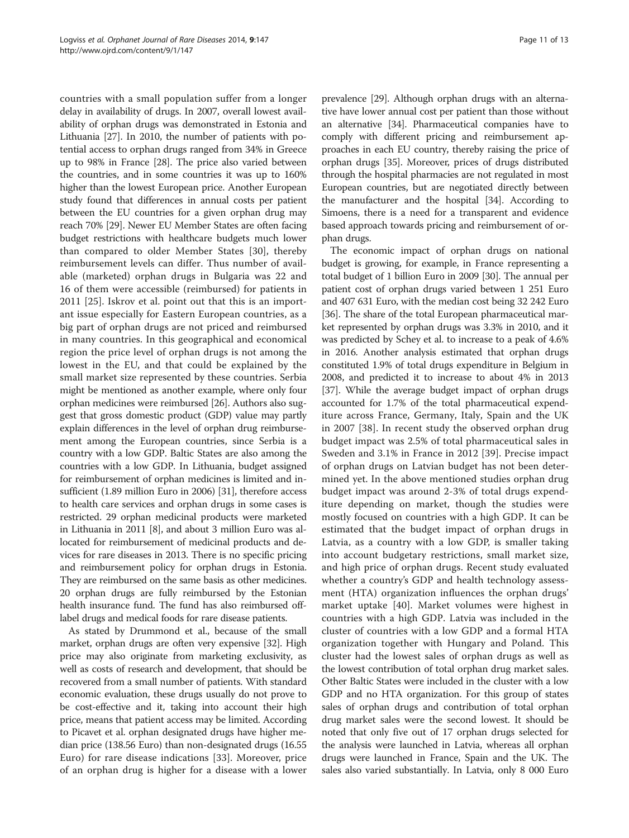countries with a small population suffer from a longer delay in availability of drugs. In 2007, overall lowest availability of orphan drugs was demonstrated in Estonia and Lithuania [\[27\]](#page-12-0). In 2010, the number of patients with potential access to orphan drugs ranged from 34% in Greece up to 98% in France [\[28\]](#page-12-0). The price also varied between the countries, and in some countries it was up to 160% higher than the lowest European price. Another European study found that differences in annual costs per patient between the EU countries for a given orphan drug may reach 70% [\[29](#page-12-0)]. Newer EU Member States are often facing budget restrictions with healthcare budgets much lower than compared to older Member States [\[30](#page-12-0)], thereby reimbursement levels can differ. Thus number of available (marketed) orphan drugs in Bulgaria was 22 and 16 of them were accessible (reimbursed) for patients in 2011 [\[25](#page-12-0)]. Iskrov et al. point out that this is an important issue especially for Eastern European countries, as a big part of orphan drugs are not priced and reimbursed in many countries. In this geographical and economical region the price level of orphan drugs is not among the lowest in the EU, and that could be explained by the small market size represented by these countries. Serbia might be mentioned as another example, where only four orphan medicines were reimbursed [[26\]](#page-12-0). Authors also suggest that gross domestic product (GDP) value may partly explain differences in the level of orphan drug reimbursement among the European countries, since Serbia is a country with a low GDP. Baltic States are also among the countries with a low GDP. In Lithuania, budget assigned for reimbursement of orphan medicines is limited and insufficient (1.89 million Euro in 2006) [[31](#page-12-0)], therefore access to health care services and orphan drugs in some cases is restricted. 29 orphan medicinal products were marketed in Lithuania in 2011 [[8](#page-12-0)], and about 3 million Euro was allocated for reimbursement of medicinal products and devices for rare diseases in 2013. There is no specific pricing and reimbursement policy for orphan drugs in Estonia. They are reimbursed on the same basis as other medicines. 20 orphan drugs are fully reimbursed by the Estonian health insurance fund. The fund has also reimbursed offlabel drugs and medical foods for rare disease patients.

As stated by Drummond et al., because of the small market, orphan drugs are often very expensive [[32](#page-12-0)]. High price may also originate from marketing exclusivity, as well as costs of research and development, that should be recovered from a small number of patients. With standard economic evaluation, these drugs usually do not prove to be cost-effective and it, taking into account their high price, means that patient access may be limited. According to Picavet et al. orphan designated drugs have higher median price (138.56 Euro) than non-designated drugs (16.55 Euro) for rare disease indications [[33\]](#page-12-0). Moreover, price of an orphan drug is higher for a disease with a lower

prevalence [\[29\]](#page-12-0). Although orphan drugs with an alternative have lower annual cost per patient than those without an alternative [[34](#page-12-0)]. Pharmaceutical companies have to comply with different pricing and reimbursement approaches in each EU country, thereby raising the price of orphan drugs [[35](#page-12-0)]. Moreover, prices of drugs distributed through the hospital pharmacies are not regulated in most European countries, but are negotiated directly between the manufacturer and the hospital [\[34](#page-12-0)]. According to Simoens, there is a need for a transparent and evidence based approach towards pricing and reimbursement of orphan drugs.

The economic impact of orphan drugs on national budget is growing, for example, in France representing a total budget of 1 billion Euro in 2009 [[30](#page-12-0)]. The annual per patient cost of orphan drugs varied between 1 251 Euro and 407 631 Euro, with the median cost being 32 242 Euro [[36](#page-12-0)]. The share of the total European pharmaceutical market represented by orphan drugs was 3.3% in 2010, and it was predicted by Schey et al. to increase to a peak of 4.6% in 2016. Another analysis estimated that orphan drugs constituted 1.9% of total drugs expenditure in Belgium in 2008, and predicted it to increase to about 4% in 2013 [[37](#page-12-0)]. While the average budget impact of orphan drugs accounted for 1.7% of the total pharmaceutical expenditure across France, Germany, Italy, Spain and the UK in 2007 [[38\]](#page-12-0). In recent study the observed orphan drug budget impact was 2.5% of total pharmaceutical sales in Sweden and 3.1% in France in 2012 [\[39](#page-12-0)]. Precise impact of orphan drugs on Latvian budget has not been determined yet. In the above mentioned studies orphan drug budget impact was around 2-3% of total drugs expenditure depending on market, though the studies were mostly focused on countries with a high GDP. It can be estimated that the budget impact of orphan drugs in Latvia, as a country with a low GDP, is smaller taking into account budgetary restrictions, small market size, and high price of orphan drugs. Recent study evaluated whether a country's GDP and health technology assessment (HTA) organization influences the orphan drugs' market uptake [\[40](#page-12-0)]. Market volumes were highest in countries with a high GDP. Latvia was included in the cluster of countries with a low GDP and a formal HTA organization together with Hungary and Poland. This cluster had the lowest sales of orphan drugs as well as the lowest contribution of total orphan drug market sales. Other Baltic States were included in the cluster with a low GDP and no HTA organization. For this group of states sales of orphan drugs and contribution of total orphan drug market sales were the second lowest. It should be noted that only five out of 17 orphan drugs selected for the analysis were launched in Latvia, whereas all orphan drugs were launched in France, Spain and the UK. The sales also varied substantially. In Latvia, only 8 000 Euro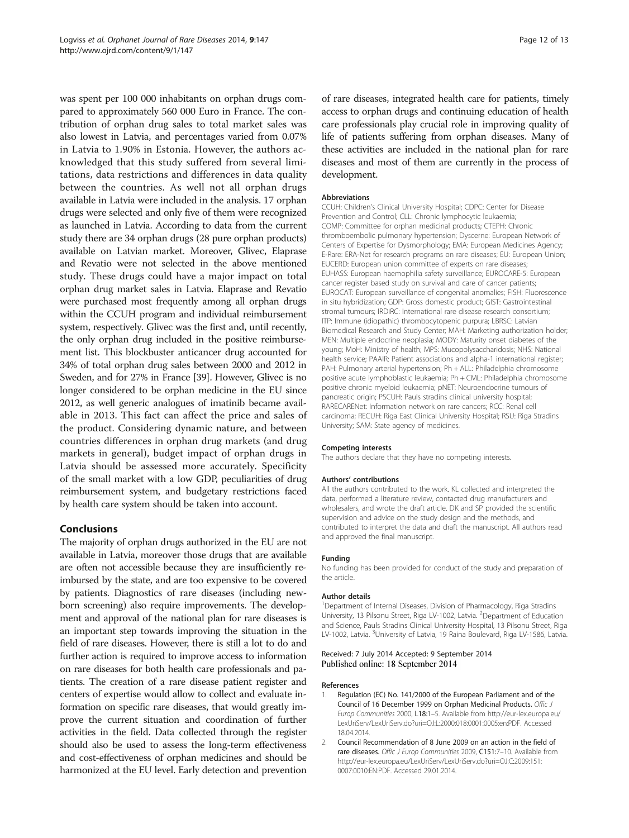<span id="page-11-0"></span>was spent per 100 000 inhabitants on orphan drugs compared to approximately 560 000 Euro in France. The contribution of orphan drug sales to total market sales was also lowest in Latvia, and percentages varied from 0.07% in Latvia to 1.90% in Estonia. However, the authors acknowledged that this study suffered from several limitations, data restrictions and differences in data quality between the countries. As well not all orphan drugs available in Latvia were included in the analysis. 17 orphan drugs were selected and only five of them were recognized as launched in Latvia. According to data from the current study there are 34 orphan drugs (28 pure orphan products) available on Latvian market. Moreover, Glivec, Elaprase and Revatio were not selected in the above mentioned study. These drugs could have a major impact on total orphan drug market sales in Latvia. Elaprase and Revatio were purchased most frequently among all orphan drugs within the CCUH program and individual reimbursement system, respectively. Glivec was the first and, until recently, the only orphan drug included in the positive reimbursement list. This blockbuster anticancer drug accounted for 34% of total orphan drug sales between 2000 and 2012 in Sweden, and for 27% in France [\[39\]](#page-12-0). However, Glivec is no longer considered to be orphan medicine in the EU since 2012, as well generic analogues of imatinib became available in 2013. This fact can affect the price and sales of the product. Considering dynamic nature, and between countries differences in orphan drug markets (and drug markets in general), budget impact of orphan drugs in Latvia should be assessed more accurately. Specificity of the small market with a low GDP, peculiarities of drug reimbursement system, and budgetary restrictions faced by health care system should be taken into account.

# Conclusions

The majority of orphan drugs authorized in the EU are not available in Latvia, moreover those drugs that are available are often not accessible because they are insufficiently reimbursed by the state, and are too expensive to be covered by patients. Diagnostics of rare diseases (including newborn screening) also require improvements. The development and approval of the national plan for rare diseases is an important step towards improving the situation in the field of rare diseases. However, there is still a lot to do and further action is required to improve access to information on rare diseases for both health care professionals and patients. The creation of a rare disease patient register and centers of expertise would allow to collect and evaluate information on specific rare diseases, that would greatly improve the current situation and coordination of further activities in the field. Data collected through the register should also be used to assess the long-term effectiveness and cost-effectiveness of orphan medicines and should be harmonized at the EU level. Early detection and prevention

of rare diseases, integrated health care for patients, timely access to orphan drugs and continuing education of health care professionals play crucial role in improving quality of life of patients suffering from orphan diseases. Many of these activities are included in the national plan for rare diseases and most of them are currently in the process of development.

#### Abbreviations

CCUH: Children's Clinical University Hospital; CDPC: Center for Disease Prevention and Control; CLL: Chronic lymphocytic leukaemia; COMP: Committee for orphan medicinal products; CTEPH: Chronic thromboembolic pulmonary hypertension; Dyscerne: European Network of Centers of Expertise for Dysmorphology; EMA: European Medicines Agency; E-Rare: ERA-Net for research programs on rare diseases; EU: European Union; EUCERD: European union committee of experts on rare diseases; EUHASS: European haemophilia safety surveillance; EUROCARE-5: European cancer register based study on survival and care of cancer patients; EUROCAT: European surveillance of congenital anomalies; FISH: Fluorescence in situ hybridization; GDP: Gross domestic product; GIST: Gastrointestinal stromal tumours; IRDiRC: International rare disease research consortium; ITP: Immune (idiopathic) thrombocytopenic purpura; LBRSC: Latvian Biomedical Research and Study Center; MAH: Marketing authorization holder; MEN: Multiple endocrine neoplasia; MODY: Maturity onset diabetes of the young; MoH: Ministry of health; MPS: Mucopolysaccharidosis; NHS: National health service; PAAIR: Patient associations and alpha-1 international register; PAH: Pulmonary arterial hypertension; Ph + ALL: Philadelphia chromosome positive acute lymphoblastic leukaemia; Ph + CML: Philadelphia chromosome positive chronic myeloid leukaemia; pNET: Neuroendocrine tumours of pancreatic origin; PSCUH: Pauls stradins clinical university hospital; RARECARENet: Information network on rare cancers; RCC: Renal cell carcinoma; RECUH: Riga East Clinical University Hospital; RSU: Riga Stradins University; SAM: State agency of medicines.

#### Competing interests

The authors declare that they have no competing interests.

#### Authors' contributions

All the authors contributed to the work. KL collected and interpreted the data, performed a literature review, contacted drug manufacturers and wholesalers, and wrote the draft article. DK and SP provided the scientific supervision and advice on the study design and the methods, and contributed to interpret the data and draft the manuscript. All authors read and approved the final manuscript.

#### Funding

No funding has been provided for conduct of the study and preparation of the article.

#### Author details

<sup>1</sup>Department of Internal Diseases, Division of Pharmacology, Riga Stradins University, 13 Pilsonu Street, Riga LV-1002, Latvia. <sup>2</sup>Department of Education and Science, Pauls Stradins Clinical University Hospital, 13 Pilsonu Street, Riga LV-1002, Latvia. <sup>3</sup>University of Latvia, 19 Raina Boulevard, Riga LV-1586, Latvia.

#### Received: 7 July 2014 Accepted: 9 September 2014 Published online: 18 September 2014

#### References

- 1. Regulation (EC) No. 141/2000 of the European Parliament and of the Council of 16 December 1999 on Orphan Medicinal Products. Offic J Europ Communities 2000, L18:1–5. Available from [http://eur-lex.europa.eu/](http://eur-lex.europa.eu/LexUriServ/LexUriServ.do?uri=OJ:L:2000:018:0001:0005:en:PDF) [LexUriServ/LexUriServ.do?uri=OJ:L:2000:018:0001:0005:en:PDF.](http://eur-lex.europa.eu/LexUriServ/LexUriServ.do?uri=OJ:L:2000:018:0001:0005:en:PDF) Accessed 18.04.2014.
- 2. Council Recommendation of 8 June 2009 on an action in the field of rare diseases. Offic J Europ Communities 2009, C151:7–10. Available from [http://eur-lex.europa.eu/LexUriServ/LexUriServ.do?uri=OJ:C:2009:151:](http://eur-lex.europa.eu/LexUriServ/LexUriServ.do?uri=OJ:C:2009:151:0007:0010:EN:PDF) [0007:0010:EN:PDF.](http://eur-lex.europa.eu/LexUriServ/LexUriServ.do?uri=OJ:C:2009:151:0007:0010:EN:PDF) Accessed 29.01.2014.